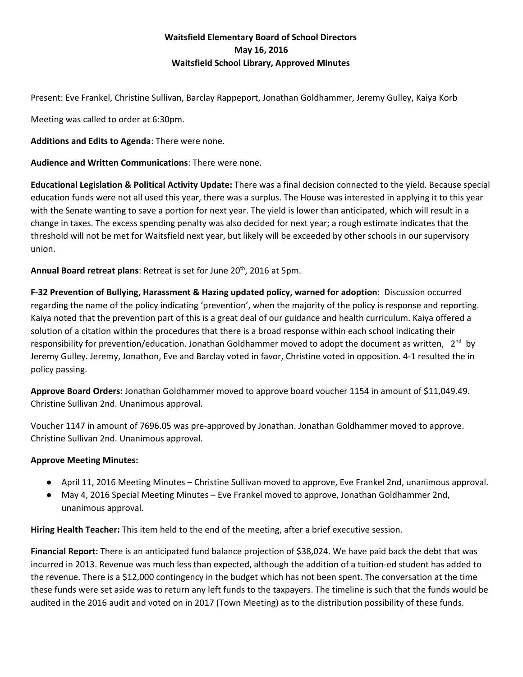## **Waitsfield Elementary Board of School Directors May 16, 2016 Waitsfield School Library, Approved Minutes**

Present: Eve Frankel, Christine Sullivan, Barclay Rappeport, Jonathan Goldhammer, Jeremy Gulley, Kaiya Korb

Meeting was called to order at 6:30pm.

**Additions and Edits to Agenda**: There were none.

**Audience and Written Communications**: There were none.

**Educational Legislation & Political Activity Update:**There was a final decision connected to the yield. Because special education funds were not all used this year, there was a surplus. The House was interested in applying it to this year with the Senate wanting to save a portion for next year. The yield is lower than anticipated, which will result in a change in taxes. The excess spending penalty was also decided for next year; a rough estimate indicates that the threshold will not be met for Waitsfield next year, but likely will be exceeded by other schools in our supervisory union.

**Annual Board retreat plans**: Retreat is set for June 20 th , 2016 at 5pm.

**F32 Prevention of Bullying, Harassment & Hazing updated policy, warned for adoption**: Discussion occurred regarding the name of the policy indicating 'prevention', when the majority of the policy is response and reporting. Kaiya noted that the prevention part of this is a great deal of our guidance and health curriculum. Kaiya offered a solution of a citation within the procedures that there is a broad response within each school indicating their responsibility for prevention/education. Jonathan Goldhammer moved to adopt the document as written, 2<sup>nd</sup> by Jeremy Gulley. Jeremy, Jonathon, Eve and Barclay voted in favor, Christine voted in opposition. 4-1 resulted the in policy passing.

**Approve Board Orders:** Jonathan Goldhammer moved to approve board voucher 1154 in amount of \$11,049.49. Christine Sullivan 2nd. Unanimous approval.

Voucher 1147 in amount of 7696.05 was pre-approved by Jonathan. Jonathan Goldhammer moved to approve. Christine Sullivan 2nd. Unanimous approval.

## **Approve Meeting Minutes:**

- April 11, 2016 Meeting Minutes Christine Sullivan moved to approve, Eve Frankel 2nd, unanimous approval.
- May 4, 2016 Special Meeting Minutes Eve Frankel moved to approve, Jonathan Goldhammer 2nd, unanimous approval.

**Hiring Health Teacher:**This item held to the end of the meeting, after a brief executive session.

**Financial Report:**There is an anticipated fund balance projection of \$38,024. We have paid back the debt that was incurred in 2013. Revenue was much less than expected, although the addition of a tuition-ed student has added to the revenue. There is a \$12,000 contingency in the budget which has not been spent. The conversation at the time these funds were set aside was to return any left funds to the taxpayers. The timeline is such that the funds would be audited in the 2016 audit and voted on in 2017 (Town Meeting) as to the distribution possibility of these funds.